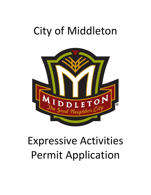## City of Middleton



# Expressive Activities Permit Application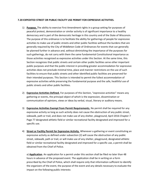#### **7.20 EXPEDITED STREET OR PUBLIC FACILITY USE PERMIT FOR EXPRESSIVE ACTIVITIES.**

- 1) **Purpose.** The ability to exercise First Amendment rights in a group setting for purposes of peaceful protest, demonstration or similar activity is of significant importance to a healthy democracy and is part of the democratic heritage in this country and of the State of Wisconsin. The purpose of this ordinance is to facilitate the ability for gatherings of people for expressive activities to make use of public streets and other public facilities without the burdens that are generally required by the City of Middleton Code of Ordinances for events that can generally be planned further in advance and, without diminishing the importance of the purposes for such gatherings, do not carry with them the same fundamental Constitutional importance as those activities recognized as expressive activities under this Section. At the same time, this Section recognizes that public streets and certain other public facilities serve other important public purposes and that the public interest in providing greater accommodation for expressive activities does not preclude minimal time, place and manner restrictions on the use of such facilities to ensure that public streets and other identified public facilities are preserved for their intended purposes. This Section is intended to permit the fullest accommodation of expressive activities while preserving the fundamental purpose and the safe, healthful use of public streets and other public facilities.
- 2) **Expressive Activities Defined.** For purposes of this Section, "expressive activities" means any gathering or events, the principal object of which is the expression, dissemination or communication of opinions, views or ideas by verbal, visual, literary or auditory means.
- 3) **Expressive Activities Exempt from Permit Requirements.** No permit shall be required for any expressive activity so long as such activity does not cause the obstruction of any public street, sidewalk, path or trail, and does not make use of any shelter, playground, April 2016 Chapter 7 Page 77 designated athletic field or similar recreational facility designated and improved for a specific use.
- 4) **Street or Facility Permit for Expressive Activity.** Whenever a gathering or event constituting an expressive activity as defined under subsection (2) will cause the obstruction of any public street, sidewalk, path or trail, or will make use of any shelter, playground, designated athletic field or similar recreational facility designated and improved for a specific use, a permit shall be obtained from the Chief of Police.

a) **Application**. An application for a permit under this section shall be filed no later than 48 hours in advance of the proposed event. The application shall be in writing on a form prescribed by the Chief of Police, which shall require only that information sufficient to identify the organizers of the event, the purpose of the event and any details necessary to evaluate the impact on the following public interests: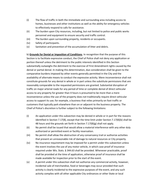- (i) The flow of traffic in both the immediate and surrounding area including access to homes, businesses and other institutions as well as the ability for emergency vehicles to effectively respond to calls for assistance.
- (ii) The burden upon City resources, including, but not limited to police and public works personnel and equipment to ensure security and traffic control.
- (iii) The burden upon surrounding property, residents or occupants.
- (iv) Safety of participants.
- (v) Sanitation and prevention of the accumulation of litter and debris.

b) **Grounds for Denial or Imposition of Conditions**. In recognition that the purpose of this Section is to facilitate expressive conduct, the Chief of Police shall not deny any application or portion thereof unless the detriment to the public interests identified in this Section substantially outweighs the detriment to the exercise of First Amendment rights caused by the denial or partial denial. In making this determination, due consideration shall be given to the comparative burdens imposed by other events generally permitted in the City and the availability of alternate means to conduct the expressive activity. Mere inconvenience shall not constitute grounds for any denial in whole or in part unless the substitute permissions that are reasonably comparable to the requested permissions are granted. Substantial disruption of traffic on major arterial roads for any period of time or complete denial of direct vehicular access to any property for greater than 4 hours is presumed to be more than a mere inconvenience unless the use of the property does not traditionally require direct vehicular access to support its use; for example, a business that relies primarily on foot traffic or customers that typically park elsewhere than on or adjacent to the business property. The Chief of Police's discretion is further subject to the following limitations:

- (i) An application under this subsection may be denied in whole or in part for the reasons identified in Section 7.17(8), except that the time limit under Section 7.17(8)(b) shall be 48 hours and the grounds set forth in Section 7.17(8)(g) shall not apply.
- (ii) No permit shall be issued that would allow a material interference with any other duly authorized or permitted event or facility reservation.
- (iii) No permit shall allow the obstruction of any conservancy trail or authorize activities that present an unreasonable risk of damage to natural resources or City property.
- (iv) No insurance requirement may be imposed for a permit under this subsection unless the event involves the use of any motor vehicle, in which case proof of insurance required under Wis. Stats. § 344.63 shall be provided. Whenever practicable, proof shall be provided at the time of application, otherwise proof of insurance shall be made available for inspection prior to the start of the event.
- (v) A permit under this subsection shall not authorize any commercial activity, however, incidental sale of merchandise, food or beverages may occur provided that such activity is clearly incidental to the expressive purposes of the event, and any such activity complies with all other applicable City ordinances or other State or local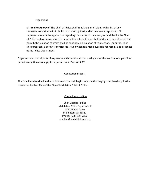regulations.

c) **Time for Approval.** The Chief of Police shall issue the permit along with a list of any necessary conditions within 36 hours or the application shall be deemed approved. All representations in the application regarding the nature of the event, as modified by the Chief of Police and as supplemented by any additional conditions, shall be deemed conditions of the permit, the violation of which shall be considered a violation of this section. For purposes of this paragraph, a permit is considered issued when it is made available for receipt upon request at the Police Department.

Organizers and participants of expressive activities that do not qualify under this section for a permit or permit exemption may apply for a permit under Section 7.17.

#### Application Process

The timelines described in the ordinance above shall begin once the thoroughly completed application is received by the office of the City of Middleton Chief of Police.

#### Contact Information

Chief Charles Foulke Middleton Police Department 7341 Donna Drive Middleton, WI 53562 Phone: (608) 824-7300 cfoulke@ci.middleton.wi.us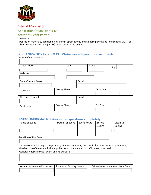

### City of Middleton

Application for an Expressive

Activities Event Permit

Ordinance 7.20

Application materials, additional City permit applications, and all base permit and license fees MUST be submitted at least forty-eight (48) hours prior to the event.

| <b>ORGANIZATION INFORMATION-Answer all questions completely.</b> |                      |      |       |              |                   |     |  |
|------------------------------------------------------------------|----------------------|------|-------|--------------|-------------------|-----|--|
| Name of Organization                                             |                      |      |       |              |                   |     |  |
|                                                                  |                      |      |       |              |                   |     |  |
| <b>Street Address</b>                                            |                      | City |       | <b>State</b> |                   | Zip |  |
|                                                                  |                      |      |       |              |                   |     |  |
| Website                                                          |                      |      |       |              |                   |     |  |
|                                                                  |                      |      |       |              |                   |     |  |
| <b>Event Contact Person</b>                                      |                      |      | Email |              |                   |     |  |
|                                                                  |                      |      |       |              |                   |     |  |
| Day Phone                                                        | <b>Evening Phone</b> |      |       |              | <b>Cell Phone</b> |     |  |
|                                                                  |                      |      |       |              |                   |     |  |
| <b>Alternate Contact</b>                                         |                      |      | Email |              |                   |     |  |
|                                                                  |                      |      |       |              |                   |     |  |
| Day Phone                                                        | <b>Evening Phone</b> |      |       |              | <b>Cell Phone</b> |     |  |
|                                                                  |                      |      |       |              |                   |     |  |

| <b>EVENT INFORMATION-Answer all questions completely.</b>                                              |                                                                      |                    |               |               |  |  |
|--------------------------------------------------------------------------------------------------------|----------------------------------------------------------------------|--------------------|---------------|---------------|--|--|
| Name of Event                                                                                          | Date(s) of Event                                                     | <b>Event Hours</b> | Set-up        | Clean-up      |  |  |
|                                                                                                        |                                                                      |                    | <b>Begins</b> | <b>Begins</b> |  |  |
|                                                                                                        |                                                                      |                    |               |               |  |  |
|                                                                                                        |                                                                      |                    |               |               |  |  |
| Location of the Event:                                                                                 |                                                                      |                    |               |               |  |  |
|                                                                                                        |                                                                      |                    |               |               |  |  |
| You MUST attach a map or diagram of your event indicating the specific location, layout of your event, |                                                                      |                    |               |               |  |  |
| the direction of the route, including all turns and the number of traffic lanes to be used.            |                                                                      |                    |               |               |  |  |
| Generally describe your event and its purpose:                                                         |                                                                      |                    |               |               |  |  |
|                                                                                                        |                                                                      |                    |               |               |  |  |
|                                                                                                        |                                                                      |                    |               |               |  |  |
|                                                                                                        |                                                                      |                    |               |               |  |  |
| Number of Years in Existence                                                                           | Estimated Attendance at Your Event<br><b>Estimated Parking Needs</b> |                    |               |               |  |  |
|                                                                                                        |                                                                      |                    |               |               |  |  |
|                                                                                                        |                                                                      |                    |               |               |  |  |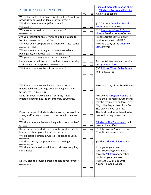|                                                          | Find out more information about    |            |                                        |
|----------------------------------------------------------|------------------------------------|------------|----------------------------------------|
| <b>ADDITIONAL INFORMATION</b>                            | <b>Middleton Forms and Permits</b> |            |                                        |
|                                                          | <b>NO</b>                          | <b>YES</b> | Action to be taken:                    |
| Was a Special Event or Expressive Activities Permit ever |                                    |            |                                        |
| previously approved or denied for this event?            |                                    |            |                                        |
| Will there be outdoor amplified sound?                   |                                    |            | \$20 Outdoor Amplified Sound           |
| Ordinance 7.15                                           |                                    |            | <b>Permit Application Fee</b>          |
| Will alcohol be sold, served or consumed?                |                                    |            | \$10 Temporary Class B (Picnic)        |
| Ordinance 7.08                                           |                                    |            | License Fee (for non-profits only)     |
| Are you requesting any City street(s) to be closed to    |                                    |            | Prepare traffic control plan in        |
| traffic? Ordinance 7.17(7), 7.17(8)(k) & 7.17(9)         |                                    |            | conformance with MUTCD.                |
| Will your event use portions of County or State roads?   |                                    |            | Provide a copy of the <b>County</b> or |
| Ordinance 7.17(8((c)                                     |                                    |            | <b>State Permit</b>                    |
| Will your event require guest or attendee vehicle        |                                    |            |                                        |
| parking and/or shuttles? Ordinance 7.17(11)(c)           |                                    |            |                                        |
| Will park, conservancy land, or trails be used?          |                                    |            |                                        |
| Have you reserved the park, pavilion, or any other city  |                                    |            | Park rental fees vary and require      |
| facilities for this purpose? Ordinance 21.02             |                                    |            | an agreement form                      |
|                                                          |                                    |            |                                        |
| Will items or services be sold at the event?             |                                    |            | \$50 Solicitor/Direct Seller Permit    |
|                                                          |                                    |            | Fee Ordinance 7.05                     |
|                                                          |                                    |            |                                        |
|                                                          |                                    |            |                                        |
|                                                          |                                    |            |                                        |
| Will items or services sold at your event present        |                                    |            | Provide a copy of the State License    |
| unique liability issues (e.g. body piercing, massage,    |                                    |            |                                        |
| tattoo, etc.) Ordinance 7.11                             |                                    |            |                                        |
| Does this event involve a plan for tents, stages,        |                                    |            | Must contact Diggers Hotline to        |
| inflatable bounce houses or temporary structures?        |                                    |            | have the area marked. Other lines      |
|                                                          |                                    |            | may be required to be located by       |
|                                                          |                                    |            | City Utility Department for a fee.     |
|                                                          |                                    |            | Site plan may be required.             |
| Does your event include food concession, preparation     |                                    |            | The food vendors will need to be       |
| areas, and/or do you intend to cook food in the event    | ⊔                                  |            | licensed through the state.            |
| area?                                                    |                                    |            |                                        |
| Will there be open flame cooking in booths or trailers?  |                                    |            | <b>Middleton Fire Department will</b>  |
| <b>Fire Code</b>                                         |                                    |            | need to be notified.                   |
| Does your event include the use of fireworks, rockets,   |                                    |            | \$100 Fireworks Permit Fee and a       |
| lasers, or other pyrotechnics? Wis. Stat. 167.10         |                                    |            | \$1 million insurance bond             |
| Will Liquefied Petroleum Gas (i.e. Propane) be used?     |                                    |            |                                        |
| Ordinance 5.13                                           |                                    |            |                                        |
| Will there be any temporary electrical wiring used?      |                                    |            | \$50/base Electrical Permit Fee        |
| Ordinance 12.09                                          |                                    |            |                                        |
| Will there be a need for additional refuse or recycling  |                                    |            | Arrange for your own                   |
| containers?                                              |                                    |            | refuse/recycling containers            |
|                                                          |                                    |            | through Pellitteri or any other        |
|                                                          |                                    |            | hauler, at your own cost.              |
| Do you plan to provide portable toilets at your event?   |                                    |            | Ratio 1 to 100 or 1 to 50 for          |
| Ordinance 6.04                                           |                                    |            | Alcohol Focused Events.                |
|                                                          |                                    |            |                                        |
|                                                          |                                    |            |                                        |
|                                                          |                                    |            |                                        |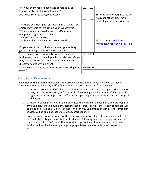| Will your event require dedicated coverage by an<br><b>Emergency Medical Service Provider?</b>                                                                                                    |  |              |                                                                                                             |  |  |
|---------------------------------------------------------------------------------------------------------------------------------------------------------------------------------------------------|--|--------------|-------------------------------------------------------------------------------------------------------------|--|--|
| Are Police Services being requested?                                                                                                                                                              |  |              | Services can be charged a fee per<br>hour, per officer. (ie. Traffic<br>control, parades, security related) |  |  |
| Will there be a clear path of travel (min. 18' wide) for<br>emergency vehicles throughout your event venue?                                                                                       |  |              |                                                                                                             |  |  |
| Will your event involve the use of traffic safety<br>equipment, signs or barricades?<br>Ordinance 8.08 & 7.17(9)(d) and (f)                                                                       |  |              |                                                                                                             |  |  |
| Will hot air balloons be used at your event?                                                                                                                                                      |  |              | Please contact Middleton<br><b>Municipal Airport at Morey Field</b>                                         |  |  |
| Do your event plans include any casino games, bingo<br>games, drawing, or lottery opportunities?                                                                                                  |  |              |                                                                                                             |  |  |
| Have you met with community groups, residents,<br>businesses, places of worship, schools, Madison Metro<br>bus, postal service and other entities that may be<br>directly affected by your event? |  | Please List: |                                                                                                             |  |  |
| How are you marketing, promoting, or advertising the<br>event?                                                                                                                                    |  | Please List: |                                                                                                             |  |  |

#### **Additional Fees/Costs**

In addition to the aforementioned fees, Expressive Activities Event sponsors may be charged for damage to grounds, buildings, and/or failure to pick up litter generated from the event.

- $\Box$  Damage to grounds includes but is not limited to car and truck rut repairs, skid steer rut repairs, or damage to berms/turf as a result of low riding vehicles. Repair of damage will be charged at the rate of \$40 per staff hour of repair, equipment and materials at cost (soil, seed, hay, etc.)
- $\Box$  Damage to buildings include but is not limited to vandalism, defacement, and breakage to any buildings, fences, equipment, gardens, tables, trees, barrels, etc. Repair of damage will be billed at a rate of \$40 per staff hour of clean-up. Equipment, materials and contractor services will be billed at cost (glass, wood, brackets, etc.)
- $\Box$  Event sponsors are responsible for the pick-up and removal of all refuse and recyclables. If the Public Lands Department staff has to clean up following an event, the sponsor may be charged at a rate of \$40 per staff hour of clean-up. Equipment, materials and contractor services will be billed at cost (garbage bags, special trash and recyclable service pick-up, etc.).